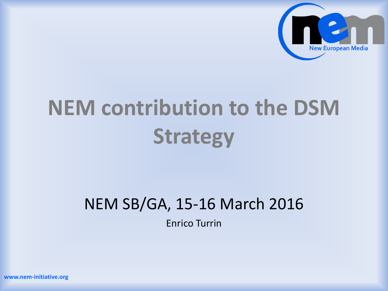

# **NEM contribution to the DSM Strategy**

#### NEM SB/GA, 15-16 March 2016

Enrico Turrin

**www.nem-initiative.org**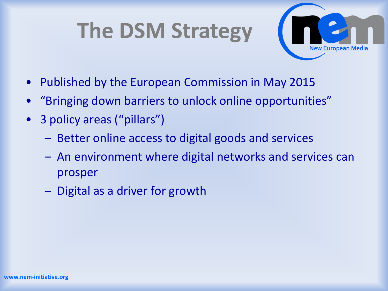### **The DSM Strategy**



- Published by the European Commission in May 2015
- "Bringing down barriers to unlock online opportunities"
- 3 policy areas ("pillars")
	- Better online access to digital goods and services
	- An environment where digital networks and services can prosper
	- Digital as a driver for growth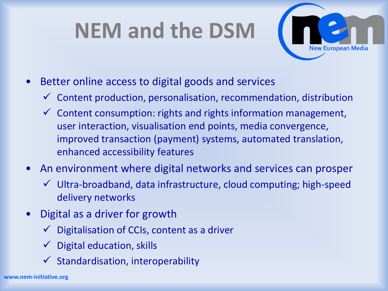## **NEM and the DSM**



- Better online access to digital goods and services
	- $\checkmark$  Content production, personalisation, recommendation, distribution
	- $\checkmark$  Content consumption: rights and rights information management, user interaction, visualisation end points, media convergence, improved transaction (payment) systems, automated translation, enhanced accessibility features
- An environment where digital networks and services can prosper
	- $\checkmark$  Ultra-broadband, data infrastructure, cloud computing; high-speed delivery networks
- Digital as a driver for growth
	- Digitalisation of CCIs, content as a driver
	- $\checkmark$  Digital education, skills
	- $\checkmark$  Standardisation, interoperability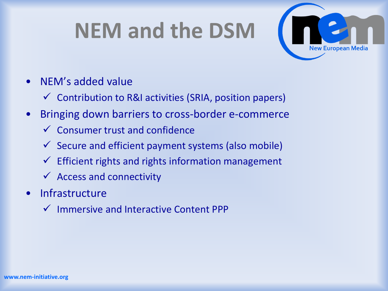#### **NEM and the DSM**



- NEM's added value
	- $\checkmark$  Contribution to R&I activities (SRIA, position papers)
- Bringing down barriers to cross-border e-commerce
	- $\checkmark$  Consumer trust and confidence
	- $\checkmark$  Secure and efficient payment systems (also mobile)
	- $\checkmark$  Efficient rights and rights information management
	- $\checkmark$  Access and connectivity
- Infrastructure
	- $\checkmark$  Immersive and Interactive Content PPP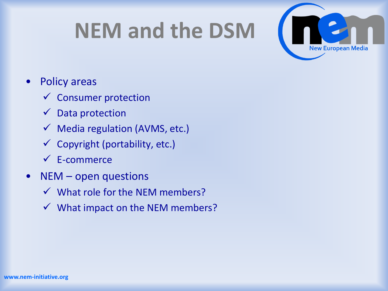### **NEM and the DSM**



#### • Policy areas

- $\checkmark$  Consumer protection
- $\checkmark$  Data protection
- $\checkmark$  Media regulation (AVMS, etc.)
- $\checkmark$  Copyright (portability, etc.)
- E-commerce
- $NEM$  open questions
	- $\checkmark$  What role for the NEM members?
	- $\checkmark$  What impact on the NEM members?